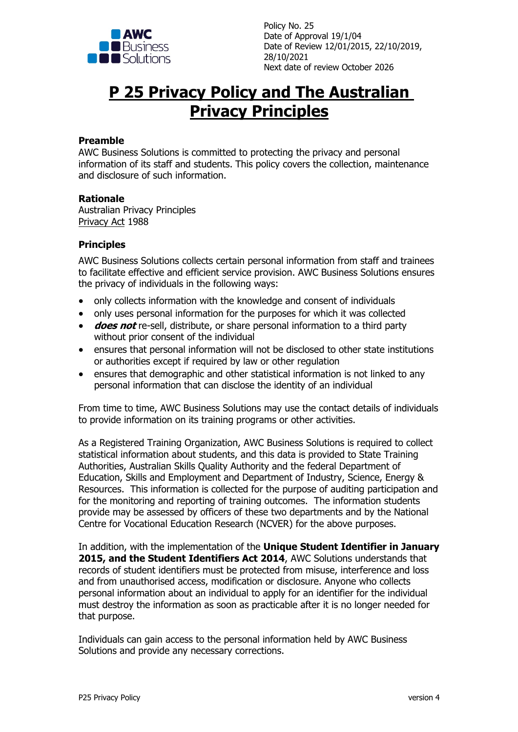

Policy No. 25 Date of Approval 19/1/04 Date of Review 12/01/2015, 22/10/2019, 28/10/2021 Next date of review October 2026

# **P 25 Privacy Policy and The Australian Privacy Principles**

# **Preamble**

AWC Business Solutions is committed to protecting the privacy and personal information of its staff and students. This policy covers the collection, maintenance and disclosure of such information.

#### **Rationale**

Australian Privacy Principles Privacy Act 1988

# **Principles**

AWC Business Solutions collects certain personal information from staff and trainees to facilitate effective and efficient service provision. AWC Business Solutions ensures the privacy of individuals in the following ways:

- only collects information with the knowledge and consent of individuals
- only uses personal information for the purposes for which it was collected
- **does not** re-sell, distribute, or share personal information to a third party without prior consent of the individual
- ensures that personal information will not be disclosed to other state institutions or authorities except if required by law or other regulation
- ensures that demographic and other statistical information is not linked to any personal information that can disclose the identity of an individual

From time to time, AWC Business Solutions may use the contact details of individuals to provide information on its training programs or other activities.

As a Registered Training Organization, AWC Business Solutions is required to collect statistical information about students, and this data is provided to State Training Authorities, Australian Skills Quality Authority and the federal Department of Education, Skills and Employment and Department of Industry, Science, Energy & Resources. This information is collected for the purpose of auditing participation and for the monitoring and reporting of training outcomes. The information students provide may be assessed by officers of these two departments and by the National Centre for Vocational Education Research (NCVER) for the above purposes.

In addition, with the implementation of the **Unique Student Identifier in January 2015, and the Student Identifiers Act 2014**, AWC Solutions understands that records of student identifiers must be protected from misuse, interference and loss and from unauthorised access, modification or disclosure. Anyone who collects personal information about an individual to apply for an identifier for the individual must destroy the information as soon as practicable after it is no longer needed for that purpose.

Individuals can gain access to the personal information held by AWC Business Solutions and provide any necessary corrections.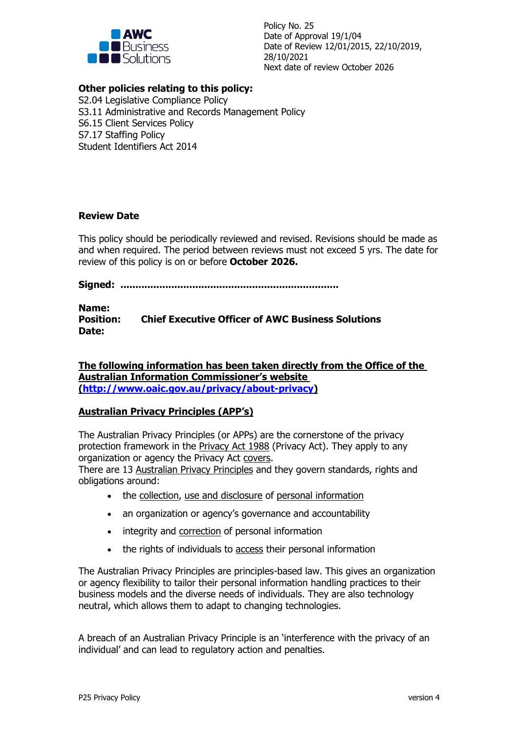

Policy No. 25 Date of Approval 19/1/04 Date of Review 12/01/2015, 22/10/2019, 28/10/2021 Next date of review October 2026

# **Other policies relating to this policy:**

S2.04 Legislative Compliance Policy S3.11 Administrative and Records Management Policy S6.15 Client Services Policy S7.17 Staffing Policy Student Identifiers Act 2014

# **Review Date**

This policy should be periodically reviewed and revised. Revisions should be made as and when required. The period between reviews must not exceed 5 yrs. The date for review of this policy is on or before **October 2026.**

**Signed: .........................................................................**

**Name: Position: Chief Executive Officer of AWC Business Solutions Date:**

**The following information has been taken directly from the Office of the Australian Information Commissioner's website (http://www.oaic.gov.au/privacy/about-privacy)**

# **Australian Privacy Principles (APP's)**

The Australian Privacy Principles (or APPs) are the cornerstone of the privacy protection framework in the Privacy Act 1988 (Privacy Act). They apply to any organization or agency the Privacy Act covers.

There are 13 Australian Privacy Principles and they govern standards, rights and obligations around:

- the collection, use and disclosure of personal information
- an organization or agency's governance and accountability
- integrity and correction of personal information
- the rights of individuals to access their personal information

The Australian Privacy Principles are principles-based law. This gives an organization or agency flexibility to tailor their personal information handling practices to their business models and the diverse needs of individuals. They are also technology neutral, which allows them to adapt to changing technologies.

A breach of an Australian Privacy Principle is an 'interference with the privacy of an individual' and can lead to regulatory action and penalties.